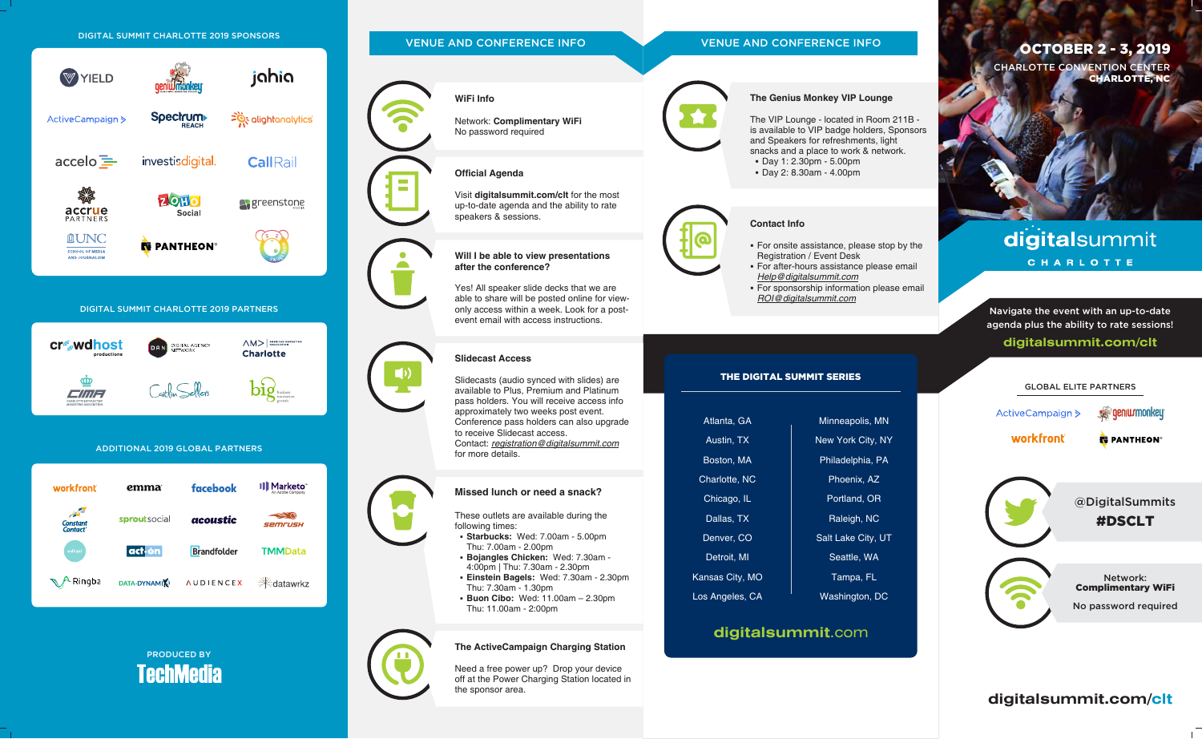

PRODUCED BY **TechMedia** 



the sponsor area.

**digitalsummit.com/clt**